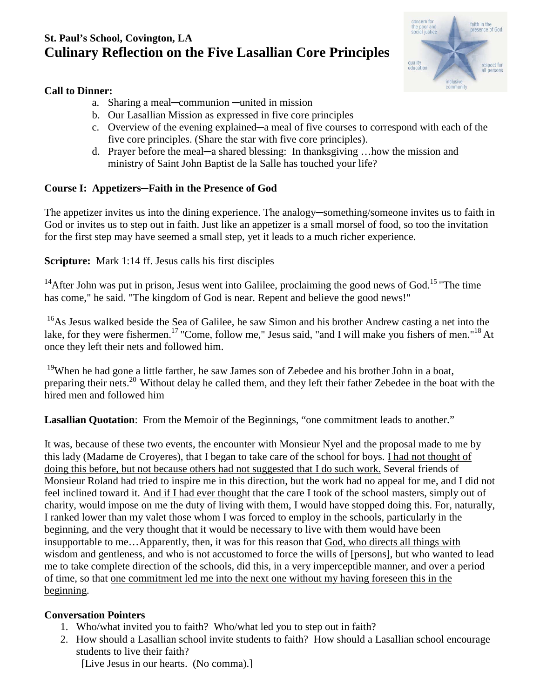# **St. Paul's School, Covington, LA Culinary Reflection on the Five Lasallian Core Principles**



### **Call to Dinner:**

- a. Sharing a meal**─**communion **─**united in mission
- b. Our Lasallian Mission as expressed in five core principles
- c. Overview of the evening explained**─**a meal of five courses to correspond with each of the five core principles. (Share the star with five core principles).
- d. Prayer before the meal**─**a shared blessing: In thanksgiving …how the mission and ministry of Saint John Baptist de la Salle has touched your life?

## **Course I: Appetizers─Faith in the Presence of God**

The appetizer invites us into the dining experience. The analogy**─**something/someone invites us to faith in God or invites us to step out in faith. Just like an appetizer is a small morsel of food, so too the invitation for the first step may have seemed a small step, yet it leads to a much richer experience.

## **Scripture:** Mark 1:14 ff. Jesus calls his first disciples

<sup>14</sup> After John was put in prison, Jesus went into Galilee, proclaiming the good news of God.<sup>15</sup> "The time has come," he said. "The kingdom of God is near. Repent and believe the good news!"

<sup>16</sup>As Jesus walked beside the Sea of Galilee, he saw Simon and his brother Andrew casting a net into the lake, for they were fishermen.<sup>17</sup> "Come, follow me," Jesus said, "and I will make you fishers of men."<sup>18</sup> At once they left their nets and followed him.

<sup>19</sup>When he had gone a little farther, he saw James son of Zebedee and his brother John in a boat, preparing their nets.<sup>20</sup> Without delay he called them, and they left their father Zebedee in the boat with the hired men and followed him

**Lasallian Quotation**: From the Memoir of the Beginnings, "one commitment leads to another."

It was, because of these two events, the encounter with Monsieur Nyel and the proposal made to me by this lady (Madame de Croyeres), that I began to take care of the school for boys. I had not thought of doing this before, but not because others had not suggested that I do such work. Several friends of Monsieur Roland had tried to inspire me in this direction, but the work had no appeal for me, and I did not feel inclined toward it. And if I had ever thought that the care I took of the school masters, simply out of charity, would impose on me the duty of living with them, I would have stopped doing this. For, naturally, I ranked lower than my valet those whom I was forced to employ in the schools, particularly in the beginning, and the very thought that it would be necessary to live with them would have been insupportable to me…Apparently, then, it was for this reason that God, who directs all things with wisdom and gentleness, and who is not accustomed to force the wills of [persons], but who wanted to lead me to take complete direction of the schools, did this, in a very imperceptible manner, and over a period of time, so that one commitment led me into the next one without my having foreseen this in the beginning.

## **Conversation Pointers**

- 1. Who/what invited you to faith? Who/what led you to step out in faith?
- 2. How should a Lasallian school invite students to faith? How should a Lasallian school encourage students to live their faith?

[Live Jesus in our hearts. (No comma).]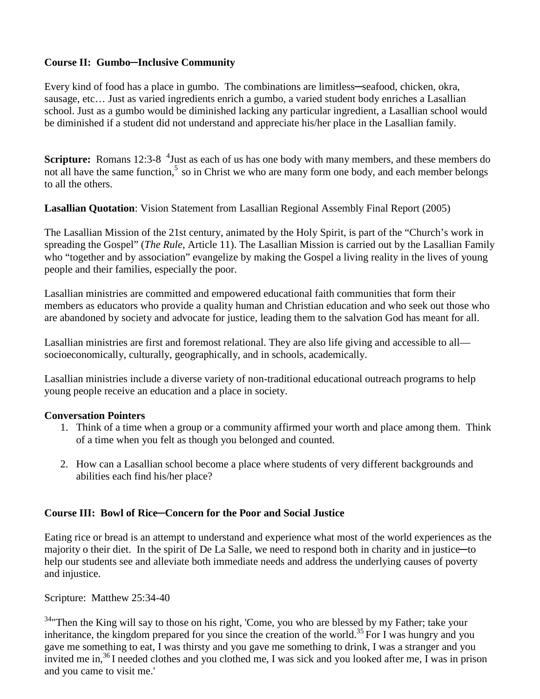### **Course II: Gumbo─Inclusive Community**

Every kind of food has a place in gumbo. The combinations are limitless**─**seafood, chicken, okra, sausage, etc… Just as varied ingredients enrich a gumbo, a varied student body enriches a Lasallian school. Just as a gumbo would be diminished lacking any particular ingredient, a Lasallian school would be diminished if a student did not understand and appreciate his/her place in the Lasallian family.

**Scripture:** Romans 12:3-8 <sup>4</sup> Just as each of us has one body with many members, and these members do not all have the same function,<sup>5</sup> so in Christ we who are many form one body, and each member belongs to all the others.

**Lasallian Quotation**: Vision Statement from Lasallian Regional Assembly Final Report (2005)

The Lasallian Mission of the 21st century, animated by the Holy Spirit, is part of the "Church's work in spreading the Gospel" (*The Rule*, Article 11). The Lasallian Mission is carried out by the Lasallian Family who "together and by association" evangelize by making the Gospel a living reality in the lives of young people and their families, especially the poor.

Lasallian ministries are committed and empowered educational faith communities that form their members as educators who provide a quality human and Christian education and who seek out those who are abandoned by society and advocate for justice, leading them to the salvation God has meant for all.

Lasallian ministries are first and foremost relational. They are also life giving and accessible to all socioeconomically, culturally, geographically, and in schools, academically.

Lasallian ministries include a diverse variety of non-traditional educational outreach programs to help young people receive an education and a place in society.

#### **Conversation Pointers**

- 1. Think of a time when a group or a community affirmed your worth and place among them. Think of a time when you felt as though you belonged and counted.
- 2. How can a Lasallian school become a place where students of very different backgrounds and abilities each find his/her place?

#### **Course III: Bowl of Rice─Concern for the Poor and Social Justice**

Eating rice or bread is an attempt to understand and experience what most of the world experiences as the majority o their diet. In the spirit of De La Salle, we need to respond both in charity and in justice**─**to help our students see and alleviate both immediate needs and address the underlying causes of poverty and injustice.

Scripture: Matthew 25:34-40

<sup>34</sup> Then the King will say to those on his right, 'Come, you who are blessed by my Father; take your inheritance, the kingdom prepared for you since the creation of the world.35 For I was hungry and you gave me something to eat, I was thirsty and you gave me something to drink, I was a stranger and you invited me in,<sup>36</sup> I needed clothes and you clothed me, I was sick and you looked after me, I was in prison and you came to visit me.'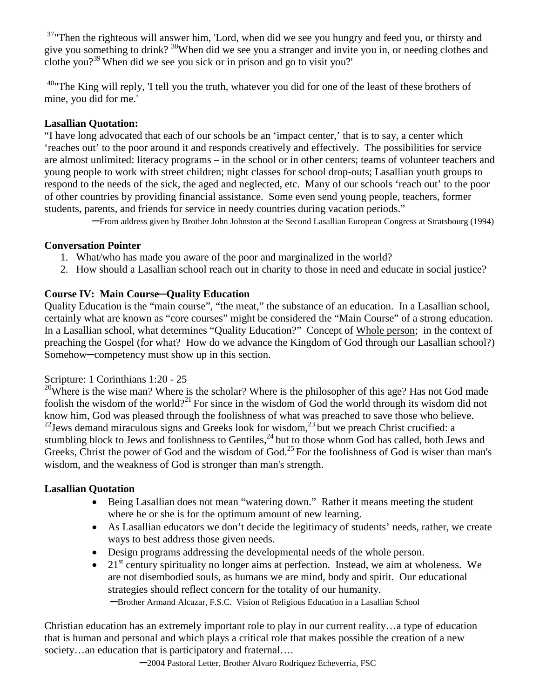<sup>37</sup>"Then the righteous will answer him, 'Lord, when did we see you hungry and feed you, or thirsty and give you something to drink? 38When did we see you a stranger and invite you in, or needing clothes and clothe you?<sup>39</sup> When did we see you sick or in prison and go to visit you?'

 $40$ "The King will reply, 'I tell you the truth, whatever you did for one of the least of these brothers of mine, you did for me.'

### **Lasallian Quotation:**

"I have long advocated that each of our schools be an 'impact center,' that is to say, a center which 'reaches out' to the poor around it and responds creatively and effectively. The possibilities for service are almost unlimited: literacy programs – in the school or in other centers; teams of volunteer teachers and young people to work with street children; night classes for school drop-outs; Lasallian youth groups to respond to the needs of the sick, the aged and neglected, etc. Many of our schools 'reach out' to the poor of other countries by providing financial assistance. Some even send young people, teachers, former students, parents, and friends for service in needy countries during vacation periods."

**─**From address given by Brother John Johnston at the Second Lasallian European Congress at Stratsbourg (1994)

### **Conversation Pointer**

- 1. What/who has made you aware of the poor and marginalized in the world?
- 2. How should a Lasallian school reach out in charity to those in need and educate in social justice?

## **Course IV: Main Course─Quality Education**

Quality Education is the "main course", "the meat," the substance of an education. In a Lasallian school, certainly what are known as "core courses" might be considered the "Main Course" of a strong education. In a Lasallian school, what determines "Quality Education?" Concept of Whole person; in the context of preaching the Gospel (for what? How do we advance the Kingdom of God through our Lasallian school?) Somehow**─**competency must show up in this section.

#### Scripture: 1 Corinthians 1:20 - 25

<sup>20</sup>Where is the wise man? Where is the scholar? Where is the philosopher of this age? Has not God made foolish the wisdom of the world?<sup>21</sup> For since in the wisdom of God the world through its wisdom did not know him, God was pleased through the foolishness of what was preached to save those who believe.  $^{22}$ Jews demand miraculous signs and Greeks look for wisdom, $^{23}$  but we preach Christ crucified: a stumbling block to Jews and foolishness to Gentiles,  $^{24}$  but to those whom God has called, both Jews and Greeks, Christ the power of God and the wisdom of God.<sup>25</sup> For the foolishness of God is wiser than man's wisdom, and the weakness of God is stronger than man's strength.

#### **Lasallian Quotation**

- Being Lasallian does not mean "watering down." Rather it means meeting the student where he or she is for the optimum amount of new learning.
- As Lasallian educators we don't decide the legitimacy of students' needs, rather, we create ways to best address those given needs.
- Design programs addressing the developmental needs of the whole person.
- 21<sup>st</sup> century spirituality no longer aims at perfection. Instead, we aim at wholeness. We are not disembodied souls, as humans we are mind, body and spirit. Our educational strategies should reflect concern for the totality of our humanity. **─**Brother Armand Alcazar, F.S.C. Vision of Religious Education in a Lasallian School

Christian education has an extremely important role to play in our current reality…a type of education that is human and personal and which plays a critical role that makes possible the creation of a new society…an education that is participatory and fraternal….

**─**2004 Pastoral Letter, Brother Alvaro Rodriquez Echeverria, FSC